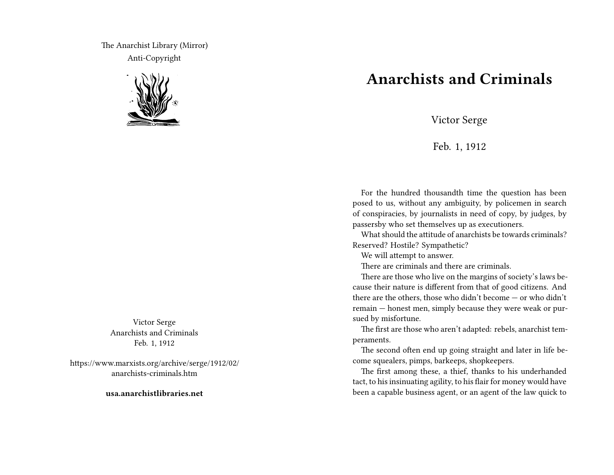The Anarchist Library (Mirror) Anti-Copyright



Victor Serge Anarchists and Criminals Feb. 1, 1912

https://www.marxists.org/archive/serge/1912/02/ anarchists-criminals.htm

**usa.anarchistlibraries.net**

## **Anarchists and Criminals**

Victor Serge

Feb. 1, 1912

For the hundred thousandth time the question has been posed to us, without any ambiguity, by policemen in search of conspiracies, by journalists in need of copy, by judges, by passersby who set themselves up as executioners.

What should the attitude of anarchists be towards criminals? Reserved? Hostile? Sympathetic?

We will attempt to answer.

There are criminals and there are criminals.

There are those who live on the margins of society's laws because their nature is different from that of good citizens. And there are the others, those who didn't become — or who didn't remain — honest men, simply because they were weak or pursued by misfortune.

The first are those who aren't adapted: rebels, anarchist temperaments.

The second often end up going straight and later in life become squealers, pimps, barkeeps, shopkeepers.

The first among these, a thief, thanks to his underhanded tact, to his insinuating agility, to his flair for money would have been a capable business agent, or an agent of the law quick to